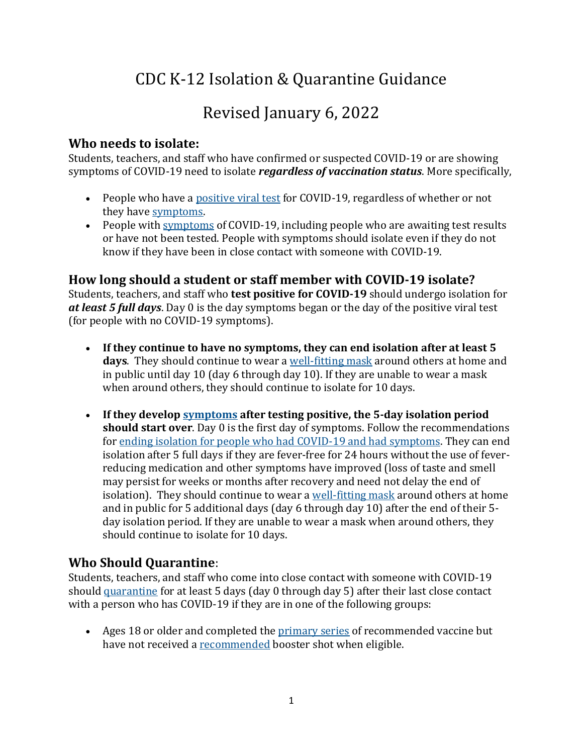# CDC K-12 Isolation & Quarantine Guidance

## Revised January 6, 2022

#### **Who needs to isolate:**

Students, teachers, and staff who have confirmed or suspected COVID-19 or are showing symptoms of COVID-19 need to isolate *regardless of vaccination status*. More specifically,

- People who have a [positive viral test](https://www.cdc.gov/coronavirus/2019-ncov/testing/diagnostic-testing.html) for COVID-19, regardless of whether or not they have [symptoms.](https://www.cdc.gov/coronavirus/2019-ncov/symptoms-testing/symptoms.html)
- People with [symptoms](https://www.cdc.gov/coronavirus/2019-ncov/symptoms-testing/symptoms.html) of COVID-19, including people who are awaiting test results or have not been tested. People with symptoms should isolate even if they do not know if they have been in close contact with someone with COVID-19.

#### **How long should a student or staff member with COVID-19 isolate?**

Students, teachers, and staff who **test positive for COVID-19** should undergo isolation for *at least 5 full days*. Day 0 is the day symptoms began or the day of the positive viral test (for people with no COVID-19 symptoms).

- **If they continue to have no symptoms, they can end isolation after at least 5 days**. They should continue to wear a [well-fitting mask](https://www.cdc.gov/coronavirus/2019-ncov/your-health/effective-masks.html) around others at home and in public until day 10 (day 6 through day 10). If they are unable to wear a mask when around others, they should continue to isolate for 10 days.
- **If they develop [symptoms](https://www.cdc.gov/coronavirus/2019-ncov/symptoms-testing/symptoms.html) after testing positive, the 5-day isolation period should start over**. Day 0 is the first day of symptoms. Follow the recommendations for [ending isolation for people who had COVID-19 and had symptoms.](https://www.cdc.gov/coronavirus/2019-ncov/your-health/quarantine-isolation.html#_Ending_isolation_for) They can end isolation after 5 full days if they are fever-free for 24 hours without the use of feverreducing medication and other symptoms have improved (loss of taste and smell may persist for weeks or months after recovery and need not delay the end of isolation). They should continue to wear a [well-fitting mask](https://www.cdc.gov/coronavirus/2019-ncov/your-health/effective-masks.html) around others at home and in public for 5 additional days (day 6 through day 10) after the end of their 5 day isolation period. If they are unable to wear a mask when around others, they should continue to isolate for 10 days.

#### **Who Should Quarantine**:

Students, teachers, and staff who come into close contact with someone with COVID-19 should [quarantine](https://www.cdc.gov/coronavirus/2019-ncov/community/schools-childcare/k-12-contact-tracing/about-quarantine.html) for at least 5 days (day 0 through day 5) after their last close contact with a person who has COVID-19 if they are in one of the following groups:

 Ages 18 or older and completed the [primary series](https://www.cdc.gov/coronavirus/2019-ncov/vaccines/stay-up-to-date.html) of recommended vaccine but have not received a [recommended](https://www.cdc.gov/coronavirus/2019-ncov/vaccines/booster-shot.html) booster shot when eligible.